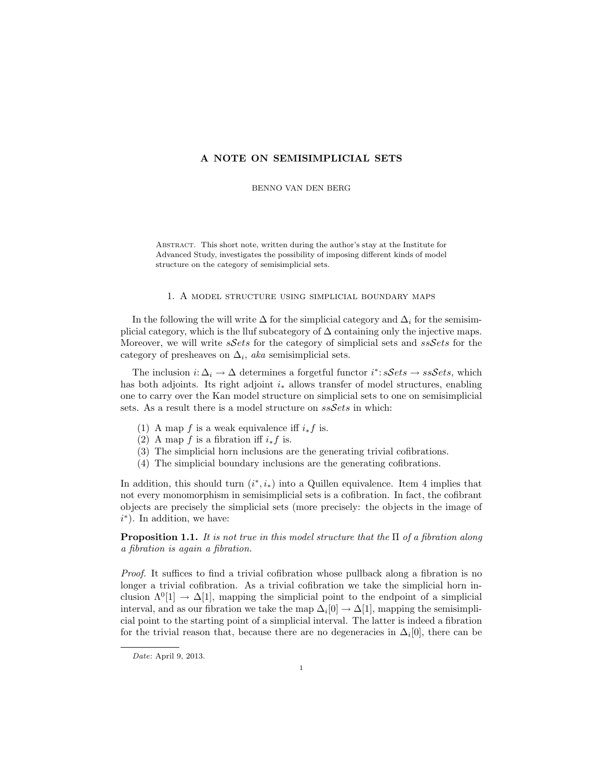## A NOTE ON SEMISIMPLICIAL SETS

BENNO VAN DEN BERG

Abstract. This short note, written during the author's stay at the Institute for Advanced Study, investigates the possibility of imposing different kinds of model structure on the category of semisimplicial sets.

## 1. A model structure using simplicial boundary maps

In the following the will write  $\Delta$  for the simplicial category and  $\Delta_i$  for the semisimplicial category, which is the lluf subcategory of  $\Delta$  containing only the injective maps. Moreover, we will write  $sSets$  for the category of simplicial sets and  $ssSets$  for the category of presheaves on  $\Delta_i$ , aka semisimplicial sets.

The inclusion  $i: \Delta_i \to \Delta$  determines a forgetful functor  $i^* : sSets \to ssSets$ , which has both adjoints. Its right adjoint  $i_*$  allows transfer of model structures, enabling one to carry over the Kan model structure on simplicial sets to one on semisimplicial sets. As a result there is a model structure on  $ssSets$  in which:

- (1) A map f is a weak equivalence iff  $i_* f$  is.
- (2) A map f is a fibration iff  $i_* f$  is.
- (3) The simplicial horn inclusions are the generating trivial cofibrations.
- (4) The simplicial boundary inclusions are the generating cofibrations.

In addition, this should turn  $(i^*, i_*)$  into a Quillen equivalence. Item 4 implies that not every monomorphism in semisimplicial sets is a cofibration. In fact, the cofibrant objects are precisely the simplicial sets (more precisely: the objects in the image of  $i^*$ ). In addition, we have:

**Proposition 1.1.** It is not true in this model structure that the  $\Pi$  of a fibration along a fibration is again a fibration.

Proof. It suffices to find a trivial cofibration whose pullback along a fibration is no longer a trivial cofibration. As a trivial cofibration we take the simplicial horn inclusion  $\Lambda^{0}[1] \to \Delta[1]$ , mapping the simplicial point to the endpoint of a simplicial interval, and as our fibration we take the map  $\Delta_i[0] \to \Delta[1]$ , mapping the semisimplicial point to the starting point of a simplicial interval. The latter is indeed a fibration for the trivial reason that, because there are no degeneracies in  $\Delta_i[0]$ , there can be

Date: April 9, 2013.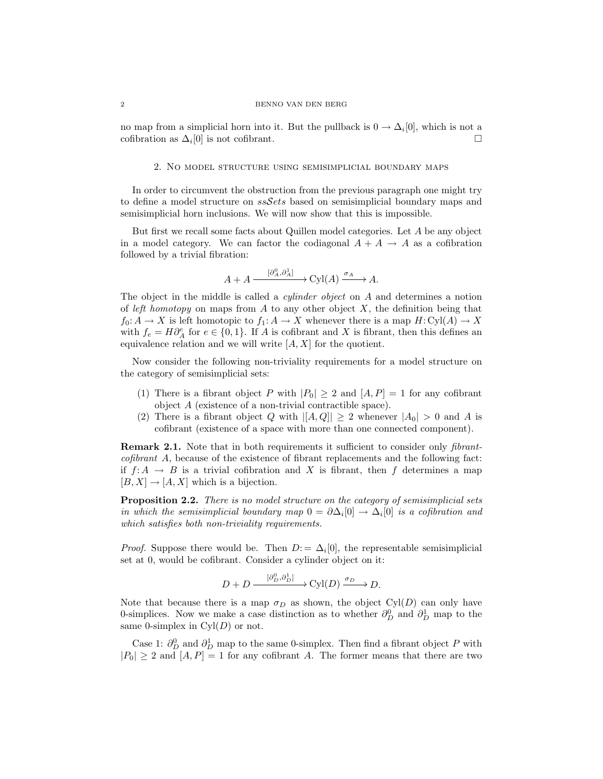## 2 BENNO VAN DEN BERG

no map from a simplicial horn into it. But the pullback is  $0 \to \Delta_i[0]$ , which is not a cofibration as  $\Delta_i[0]$  is not cofibrant.

## 2. No model structure using semisimplicial boundary maps

In order to circumvent the obstruction from the previous paragraph one might try to define a model structure on  $ssSets$  based on semisimplicial boundary maps and semisimplicial horn inclusions. We will now show that this is impossible.

But first we recall some facts about Quillen model categories. Let A be any object in a model category. We can factor the codiagonal  $A + A \rightarrow A$  as a cofibration followed by a trivial fibration:

$$
A + A \xrightarrow{[\partial_A^0, \partial_A^1]} \text{Cyl}(A) \xrightarrow{\sigma_A} A.
$$

The object in the middle is called a *cylinder object* on A and determines a notion of left homotopy on maps from A to any other object  $X$ , the definition being that  $f_0: A \to X$  is left homotopic to  $f_1: A \to X$  whenever there is a map  $H: Cyl(A) \to X$ with  $f_e = H \partial_A^e$  for  $e \in \{0, 1\}$ . If A is cofibrant and X is fibrant, then this defines an equivalence relation and we will write  $[A, X]$  for the quotient.

Now consider the following non-triviality requirements for a model structure on the category of semisimplicial sets:

- (1) There is a fibrant object P with  $|P_0| \geq 2$  and  $[A, P] = 1$  for any cofibrant object A (existence of a non-trivial contractible space).
- (2) There is a fibrant object Q with  $|[A, Q]| \geq 2$  whenever  $|A_0| > 0$  and A is cofibrant (existence of a space with more than one connected component).

**Remark 2.1.** Note that in both requirements it sufficient to consider only *fibrant*cofibrant A, because of the existence of fibrant replacements and the following fact: if  $f: A \to B$  is a trivial cofibration and X is fibrant, then f determines a map  $[B, X] \to [A, X]$  which is a bijection.

**Proposition 2.2.** There is no model structure on the category of semisimplicial sets in which the semisimplicial boundary map  $0 = \partial \Delta_i[0] \to \Delta_i[0]$  is a cofibration and which satisfies both non-triviality requirements.

*Proof.* Suppose there would be. Then  $D = \Delta_i[0]$ , the representable semisimplicial set at 0, would be cofibrant. Consider a cylinder object on it:

$$
D + D \xrightarrow{[\partial_D^0, \partial_D^1]} \text{Cyl}(D) \xrightarrow{\sigma_D} D.
$$

Note that because there is a map  $\sigma_D$  as shown, the object Cyl(D) can only have 0-simplices. Now we make a case distinction as to whether  $\partial_D^0$  and  $\partial_D^1$  map to the same 0-simplex in  $Cyl(D)$  or not.

Case 1:  $\partial_D^0$  and  $\partial_D^1$  map to the same 0-simplex. Then find a fibrant object P with  $|P_0| \geq 2$  and  $[A, P] = 1$  for any cofibrant A. The former means that there are two